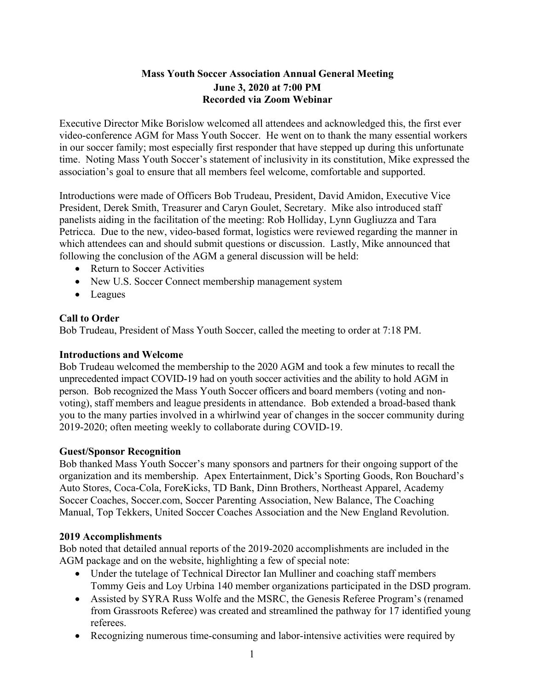## **Mass Youth Soccer Association Annual General Meeting June 3, 2020 at 7:00 PM Recorded via Zoom Webinar**

Executive Director Mike Borislow welcomed all attendees and acknowledged this, the first ever video-conference AGM for Mass Youth Soccer. He went on to thank the many essential workers in our soccer family; most especially first responder that have stepped up during this unfortunate time. Noting Mass Youth Soccer's statement of inclusivity in its constitution, Mike expressed the association's goal to ensure that all members feel welcome, comfortable and supported.

Introductions were made of Officers Bob Trudeau, President, David Amidon, Executive Vice President, Derek Smith, Treasurer and Caryn Goulet, Secretary. Mike also introduced staff panelists aiding in the facilitation of the meeting: Rob Holliday, Lynn Gugliuzza and Tara Petricca. Due to the new, video-based format, logistics were reviewed regarding the manner in which attendees can and should submit questions or discussion. Lastly, Mike announced that following the conclusion of the AGM a general discussion will be held:

- Return to Soccer Activities
- New U.S. Soccer Connect membership management system
- Leagues

## **Call to Order**

Bob Trudeau, President of Mass Youth Soccer, called the meeting to order at 7:18 PM.

## **Introductions and Welcome**

Bob Trudeau welcomed the membership to the 2020 AGM and took a few minutes to recall the unprecedented impact COVID-19 had on youth soccer activities and the ability to hold AGM in person. Bob recognized the Mass Youth Soccer officers and board members (voting and nonvoting), staff members and league presidents in attendance. Bob extended a broad-based thank you to the many parties involved in a whirlwind year of changes in the soccer community during 2019-2020; often meeting weekly to collaborate during COVID-19.

## **Guest/Sponsor Recognition**

Bob thanked Mass Youth Soccer's many sponsors and partners for their ongoing support of the organization and its membership. Apex Entertainment, Dick's Sporting Goods, Ron Bouchard's Auto Stores, Coca-Cola, ForeKicks, TD Bank, Dinn Brothers, Northeast Apparel, Academy Soccer Coaches, Soccer.com, Soccer Parenting Association, New Balance, The Coaching Manual, Top Tekkers, United Soccer Coaches Association and the New England Revolution.

## **2019 Accomplishments**

Bob noted that detailed annual reports of the 2019-2020 accomplishments are included in the AGM package and on the website, highlighting a few of special note:

- Under the tutelage of Technical Director Ian Mulliner and coaching staff members Tommy Geis and Loy Urbina 140 member organizations participated in the DSD program.
- Assisted by SYRA Russ Wolfe and the MSRC, the Genesis Referee Program's (renamed from Grassroots Referee) was created and streamlined the pathway for 17 identified young referees.
- Recognizing numerous time-consuming and labor-intensive activities were required by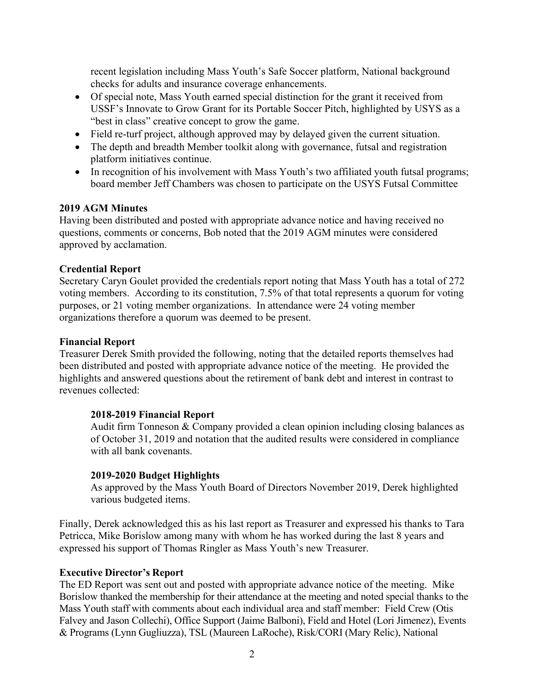recent legislation including Mass Youth's Safe Soccer platform, National background checks for adults and insurance coverage enhancements.

- Of special note, Mass Youth earned special distinction for the grant it received from USSF's Innovate to Grow Grant for its Portable Soccer Pitch, highlighted by USYS as a "best in class" creative concept to grow the game.
- Field re-turf project, although approved may by delayed given the current situation.
- The depth and breadth Member toolkit along with governance, futsal and registration platform initiatives continue.
- In recognition of his involvement with Mass Youth's two affiliated youth futsal programs; board member Jeff Chambers was chosen to participate on the USYS Futsal Committee

## **2019 AGM Minutes**

Having been distributed and posted with appropriate advance notice and having received no questions, comments or concerns, Bob noted that the 2019 AGM minutes were considered approved by acclamation.

## **Credential Report**

Secretary Caryn Goulet provided the credentials report noting that Mass Youth has a total of 272 voting members. According to its constitution, 7.5% of that total represents a quorum for voting purposes, or 21 voting member organizations. In attendance were 24 voting member organizations therefore a quorum was deemed to be present.

#### **Financial Report**

Treasurer Derek Smith provided the following, noting that the detailed reports themselves had been distributed and posted with appropriate advance notice of the meeting. He provided the highlights and answered questions about the retirement of bank debt and interest in contrast to revenues collected:

#### **2018-2019 Financial Report**

Audit firm Tonneson & Company provided a clean opinion including closing balances as of October 31, 2019 and notation that the audited results were considered in compliance with all bank covenants.

#### **2019-2020 Budget Highlights**

As approved by the Mass Youth Board of Directors November 2019, Derek highlighted various budgeted items.

Finally, Derek acknowledged this as his last report as Treasurer and expressed his thanks to Tara Petricca, Mike Borislow among many with whom he has worked during the last 8 years and expressed his support of Thomas Ringler as Mass Youth's new Treasurer.

#### **Executive Director's Report**

The ED Report was sent out and posted with appropriate advance notice of the meeting. Mike Borislow thanked the membership for their attendance at the meeting and noted special thanks to the Mass Youth staff with comments about each individual area and staff member: Field Crew (Otis Falvey and Jason Collechi), Office Support (Jaime Balboni), Field and Hotel (Lori Jimenez), Events & Programs (Lynn Gugliuzza), TSL (Maureen LaRoche), Risk/CORI (Mary Relic), National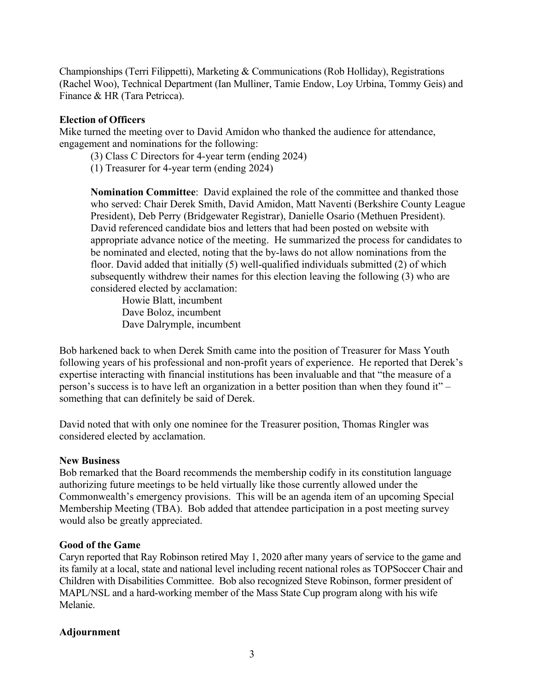Championships (Terri Filippetti), Marketing & Communications (Rob Holliday), Registrations (Rachel Woo), Technical Department (Ian Mulliner, Tamie Endow, Loy Urbina, Tommy Geis) and Finance & HR (Tara Petricca).

### **Election of Officers**

Mike turned the meeting over to David Amidon who thanked the audience for attendance, engagement and nominations for the following:

- (3) Class C Directors for 4-year term (ending 2024)
- (1) Treasurer for 4-year term (ending 2024)

**Nomination Committee**: David explained the role of the committee and thanked those who served: Chair Derek Smith, David Amidon, Matt Naventi (Berkshire County League President), Deb Perry (Bridgewater Registrar), Danielle Osario (Methuen President). David referenced candidate bios and letters that had been posted on website with appropriate advance notice of the meeting. He summarized the process for candidates to be nominated and elected, noting that the by-laws do not allow nominations from the floor. David added that initially (5) well-qualified individuals submitted (2) of which subsequently withdrew their names for this election leaving the following (3) who are considered elected by acclamation:

Howie Blatt, incumbent Dave Boloz, incumbent Dave Dalrymple, incumbent

Bob harkened back to when Derek Smith came into the position of Treasurer for Mass Youth following years of his professional and non-profit years of experience. He reported that Derek's expertise interacting with financial institutions has been invaluable and that "the measure of a person's success is to have left an organization in a better position than when they found it" – something that can definitely be said of Derek.

David noted that with only one nominee for the Treasurer position, Thomas Ringler was considered elected by acclamation.

#### **New Business**

Bob remarked that the Board recommends the membership codify in its constitution language authorizing future meetings to be held virtually like those currently allowed under the Commonwealth's emergency provisions. This will be an agenda item of an upcoming Special Membership Meeting (TBA). Bob added that attendee participation in a post meeting survey would also be greatly appreciated.

#### **Good of the Game**

Caryn reported that Ray Robinson retired May 1, 2020 after many years of service to the game and its family at a local, state and national level including recent national roles as TOPSoccer Chair and Children with Disabilities Committee. Bob also recognized Steve Robinson, former president of MAPL/NSL and a hard-working member of the Mass State Cup program along with his wife Melanie.

#### **Adjournment**